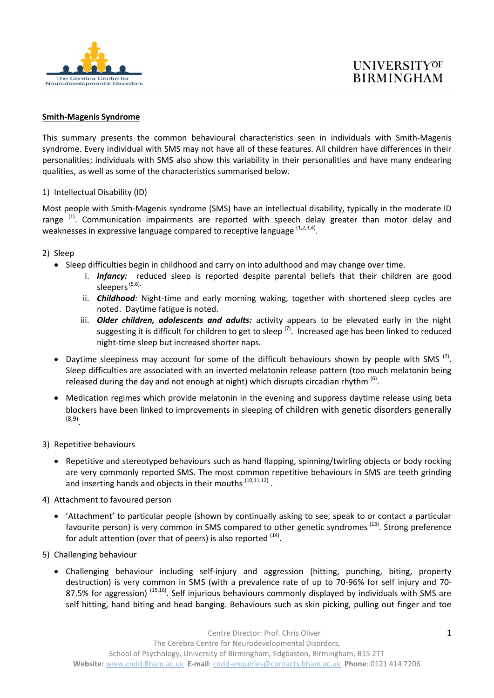

## **Smith-Magenis Syndrome**

This summary presents the common behavioural characteristics seen in individuals with Smith-Magenis syndrome. Every individual with SMS may not have all of these features. All children have differences in their personalities; individuals with SMS also show this variability in their personalities and have many endearing qualities, as well as some of the characteristics summarised below.

## 1) Intellectual Disability (ID)

Most people with Smith-Magenis syndrome (SMS) have an intellectual disability, typically in the moderate ID range<sup>(1)</sup>. Communication impairments are reported with speech delay greater than motor delay and weaknesses in expressive language compared to receptive language <sup>(1,2,3,4)</sup>.

- 2) Sleep
	- Sleep difficulties begin in childhood and carry on into adulthood and may change over time.
		- i. *Infancy:* reduced sleep is reported despite parental beliefs that their children are good sleepers<sup>(5,6).</sup>
		- ii. *Childhood:* Night-time and early morning waking, together with shortened sleep cycles are noted. Daytime fatigue is noted.
		- iii. *Older children, adolescents and adults:* activity appears to be elevated early in the night suggesting it is difficult for children to get to sleep <sup>(7)</sup>. Increased age has been linked to reduced night-time sleep but increased shorter naps.
	- Daytime sleepiness may account for some of the difficult behaviours shown by people with SMS<sup>(7)</sup>. Sleep difficulties are associated with an inverted melatonin release pattern (too much melatonin being released during the day and not enough at night) which disrupts circadian rhythm  $^{(6)}$ .
	- Medication regimes which provide melatonin in the evening and suppress daytime release using beta blockers have been linked to improvements in sleeping of children with genetic disorders generally (8,9) .
- 3) Repetitive behaviours
	- Repetitive and stereotyped behaviours such as hand flapping, spinning/twirling objects or body rocking are very commonly reported SMS. The most common repetitive behaviours in SMS are teeth grinding and inserting hands and objects in their mouths <sup>(10,11,12)</sup>.
- 4) Attachment to favoured person
	- 'Attachment' to particular people (shown by continually asking to see, speak to or contact a particular favourite person) is very common in SMS compared to other genetic syndromes <sup>(13)</sup>. Strong preference for adult attention (over that of peers) is also reported  $^{(14)}$ .
- 5) Challenging behaviour
	- Challenging behaviour including self-injury and aggression (hitting, punching, biting, property destruction) is very common in SMS (with a prevalence rate of up to 70-96% for self injury and 70- 87.5% for aggression) <sup>(15,16)</sup>. Self injurious behaviours commonly displayed by individuals with SMS are self hitting, hand biting and head banging. Behaviours such as skin picking, pulling out finger and toe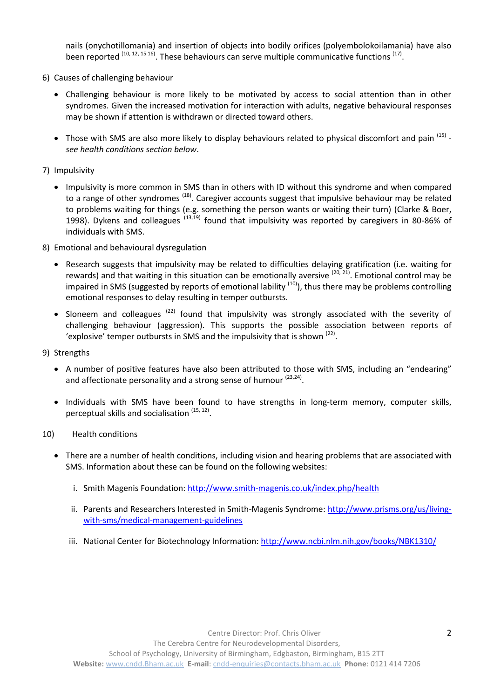nails (onychotillomania) and insertion of objects into bodily orifices (polyembolokoilamania) have also been reported  $(10, 12, 15, 16)$ . These behaviours can serve multiple communicative functions  $(17)$ .

- 6) Causes of challenging behaviour
	- Challenging behaviour is more likely to be motivated by access to social attention than in other syndromes. Given the increased motivation for interaction with adults, negative behavioural responses may be shown if attention is withdrawn or directed toward others.
	- Those with SMS are also more likely to display behaviours related to physical discomfort and pain <sup>(15)</sup> *see health conditions section below*.

## 7) Impulsivity

- Impulsivity is more common in SMS than in others with ID without this syndrome and when compared to a range of other syndromes <sup>(18)</sup>. Caregiver accounts suggest that impulsive behaviour may be related to problems waiting for things (e.g. something the person wants or waiting their turn) (Clarke & Boer, 1998). Dykens and colleagues <sup>(13,19)</sup> found that impulsivity was reported by caregivers in 80-86% of individuals with SMS.
- 8) Emotional and behavioural dysregulation
	- Research suggests that impulsivity may be related to difficulties delaying gratification (i.e. waiting for rewards) and that waiting in this situation can be emotionally aversive <sup>(20, 21)</sup>. Emotional control may be impaired in SMS (suggested by reports of emotional lability  $(10)$ ), thus there may be problems controlling emotional responses to delay resulting in temper outbursts.
	- Sloneem and colleagues  $(22)$  found that impulsivity was strongly associated with the severity of challenging behaviour (aggression). This supports the possible association between reports of 'explosive' temper outbursts in SMS and the impulsivity that is shown  $(22)$ .
- 9) Strengths
	- A number of positive features have also been attributed to those with SMS, including an "endearing" and affectionate personality and a strong sense of humour <sup>(23,24)</sup>.
	- Individuals with SMS have been found to have strengths in long-term memory, computer skills, perceptual skills and socialisation <sup>(15, 12)</sup>.
- 10) Health conditions
	- There are a number of health conditions, including vision and hearing problems that are associated with SMS. Information about these can be found on the following websites:
		- i. Smith Magenis Foundation: <http://www.smith-magenis.co.uk/index.php/health>
		- ii. Parents and Researchers Interested in Smith-Magenis Syndrome: [http://www.prisms.org/us/living](http://www.prisms.org/us/living-with-sms/medical-management-guidelines)[with-sms/medical-management-guidelines](http://www.prisms.org/us/living-with-sms/medical-management-guidelines)
		- iii. National Center for Biotechnology Information[: http://www.ncbi.nlm.nih.gov/books/NBK1310/](http://www.ncbi.nlm.nih.gov/books/NBK1310/)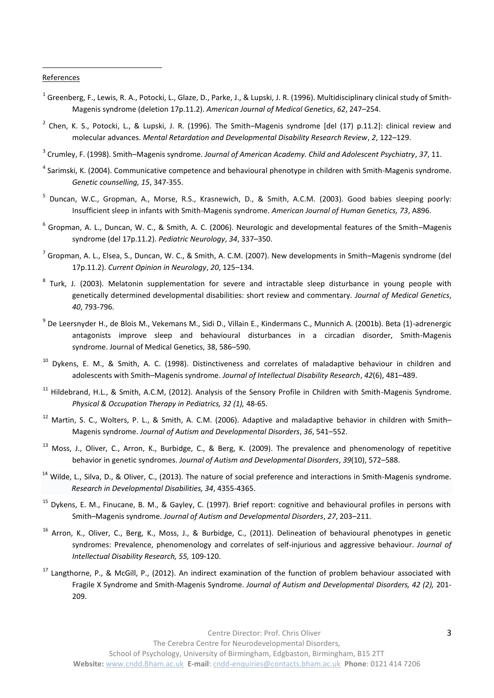## **References**

1

- <sup>1</sup> Greenberg, F., Lewis, R. A., Potocki, L., Glaze, D., Parke, J., & Lupski, J. R. (1996). Multidisciplinary clinical study of Smith-Magenis syndrome (deletion 17p.11.2). *American Journal of Medical Genetics*, *62*, 247–254.
- $^2$  Chen, K. S., Potocki, L., & Lupski, J. R. (1996). The Smith–Magenis syndrome [del (17) p.11.2]: clinical review and molecular advances. *Mental Retardation and Developmental Disability Research Review*, *2*, 122–129.
- 3 Crumley, F. (1998). Smith–Magenis syndrome. *Journal of American Academy. Child and Adolescent Psychiatry*, *37*, 11.
- <sup>4</sup> Sarimski, K. (2004). Communicative competence and behavioural phenotype in children with Smith-Magenis syndrome. *Genetic counselling, 15*, 347-355.
- <sup>5</sup> Duncan, W.C., Gropman, A., Morse, R.S., Krasnewich, D., & Smith, A.C.M. (2003). Good babies sleeping poorly: Insufficient sleep in infants with Smith-Magenis syndrome. *American Journal of Human Genetics, 73*, A896.
- 6 Gropman, A. L., Duncan, W. C., & Smith, A. C. (2006). Neurologic and developmental features of the Smith–Magenis syndrome (del 17p.11.2). *Pediatric Neurology*, *34*, 337–350.
- <sup>7</sup> Gropman, A. L., Elsea, S., Duncan, W. C., & Smith, A. C.M. (2007). New developments in Smith–Magenis syndrome (del 17p.11.2). *Current Opinion in Neurology*, *20*, 125–134.
- <sup>8</sup> Turk, J. (2003). Melatonin supplementation for severe and intractable sleep disturbance in young people with genetically determined developmental disabilities: short review and commentary. *Journal of Medical Genetics*, *40*, 793-796.
- 9 De Leersnyder H., de Blois M., Vekemans M., Sidi D., Villain E., Kindermans C., Munnich A. (2001b). Beta (1)-adrenergic antagonists improve sleep and behavioural disturbances in a circadian disorder, Smith-Magenis syndrome. Journal of Medical Genetics, 38, 586–590.
- <sup>10</sup> Dykens, E. M., & Smith, A. C. (1998). Distinctiveness and correlates of maladaptive behaviour in children and adolescents with Smith–Magenis syndrome. *Journal of Intellectual Disability Research*, *42*(6), 481–489.
- $11$  Hildebrand, H.L., & Smith, A.C.M, (2012). Analysis of the Sensory Profile in Children with Smith-Magenis Syndrome. *Physical & Occupation Therapy in Pediatrics, 32 (1),* 48-65.
- $12$  Martin, S. C., Wolters, P. L., & Smith, A. C.M. (2006). Adaptive and maladaptive behavior in children with Smith– Magenis syndrome. *Journal of Autism and Developmental Disorders*, *36*, 541–552.
- <sup>13</sup> Moss, J., Oliver, C., Arron, K., Burbidge, C., & Berg, K. (2009). The prevalence and phenomenology of repetitive behavior in genetic syndromes. *Journal of Autism and Developmental Disorders*, *39*(10), 572–588.
- $14$  Wilde, L., Silva, D., & Oliver, C., (2013). The nature of social preference and interactions in Smith-Magenis syndrome. *Research in Developmental Disabilities, 34*, 4355-4365.
- $15$  Dykens, E. M., Finucane, B. M., & Gayley, C. (1997). Brief report: cognitive and behavioural profiles in persons with Smith–Magenis syndrome. *Journal of Autism and Developmental Disorders*, *27*, 203–211.
- $16$  Arron, K., Oliver, C., Berg, K., Moss, J., & Burbidge, C., (2011). Delineation of behavioural phenotypes in genetic syndromes: Prevalence, phenomenology and correlates of self-injurious and aggressive behaviour. *Journal of Intellectual Disability Research, 55,* 109-120.
- $17$  Langthorne, P., & McGill, P., (2012). An indirect examination of the function of problem behaviour associated with Fragile X Syndrome and Smith-Magenis Syndrome. *Journal of Autism and Developmental Disorders, 42 (2),* 201- 209.